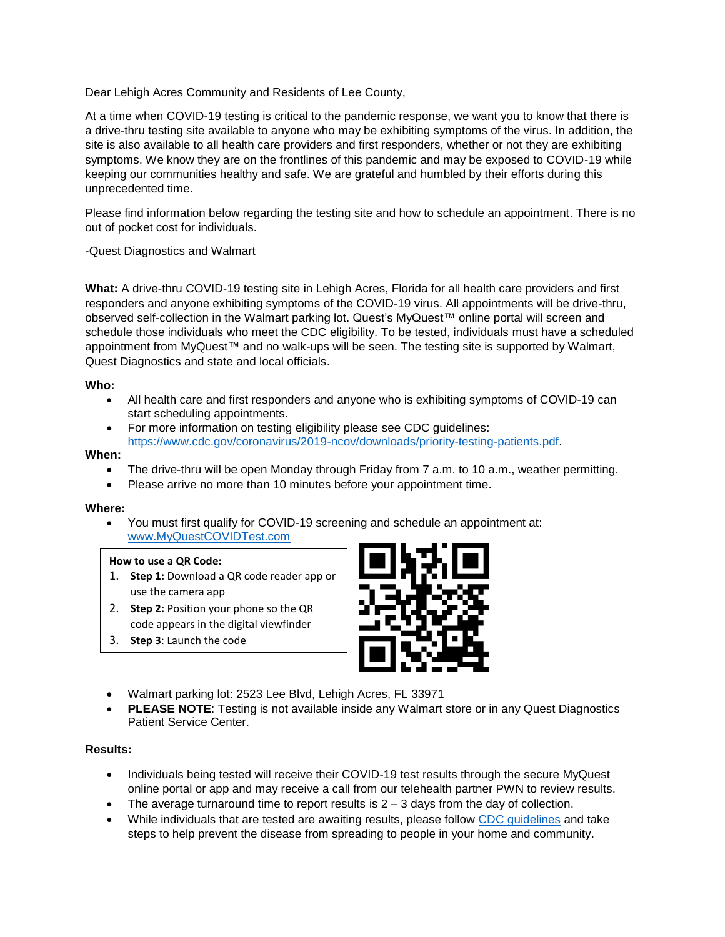Dear Lehigh Acres Community and Residents of Lee County,

At a time when COVID-19 testing is critical to the pandemic response, we want you to know that there is a drive-thru testing site available to anyone who may be exhibiting symptoms of the virus. In addition, the site is also available to all health care providers and first responders, whether or not they are exhibiting symptoms. We know they are on the frontlines of this pandemic and may be exposed to COVID-19 while keeping our communities healthy and safe. We are grateful and humbled by their efforts during this unprecedented time.

Please find information below regarding the testing site and how to schedule an appointment. There is no out of pocket cost for individuals.

-Quest Diagnostics and Walmart

**What:** A drive-thru COVID-19 testing site in Lehigh Acres, Florida for all health care providers and first responders and anyone exhibiting symptoms of the COVID-19 virus. All appointments will be drive-thru, observed self-collection in the Walmart parking lot. Quest's MyQuest™ online portal will screen and schedule those individuals who meet the CDC eligibility. To be tested, individuals must have a scheduled appointment from MyQuest™ and no walk-ups will be seen. The testing site is supported by Walmart, Quest Diagnostics and state and local officials.

# **Who:**

- All health care and first responders and anyone who is exhibiting symptoms of COVID-19 can start scheduling appointments.
- For more information on testing eligibility please see CDC guidelines: [https://www.cdc.gov/coronavirus/2019-ncov/downloads/priority-testing-patients.pdf.](https://www.cdc.gov/coronavirus/2019-ncov/downloads/priority-testing-patients.pdf)

# **When:**

- The drive-thru will be open Monday through Friday from 7 a.m. to 10 a.m., weather permitting.
- Please arrive no more than 10 minutes before your appointment time.

### **Where:**

• You must first qualify for COVID-19 screening and schedule an appointment at: [www.MyQuestCOVIDTest.com](http://www.myquestcovidtest.com/)

### **How to use a QR Code:**

- 1. **Step 1:** Download a QR code reader app or use the camera app
- 2. **Step 2:** Position your phone so the QR code appears in the digital viewfinder
- 3. **Step 3**: Launch the code



- Walmart parking lot: 2523 Lee Blvd, Lehigh Acres, FL 33971
- **PLEASE NOTE:** Testing is not available inside any Walmart store or in any Quest Diagnostics Patient Service Center.

### **Results:**

- Individuals being tested will receive their COVID-19 test results through the secure MyQuest online portal or app and may receive a call from our telehealth partner PWN to review results.
- The average turnaround time to report results is  $2 3$  days from the day of collection.
- While individuals that are tested are awaiting results, please follow [CDC guidelines](https://www.cdc.gov/coronavirus/2019-ncov/if-you-are-sick/index.html) and take steps to help prevent the disease from spreading to people in your home and community.